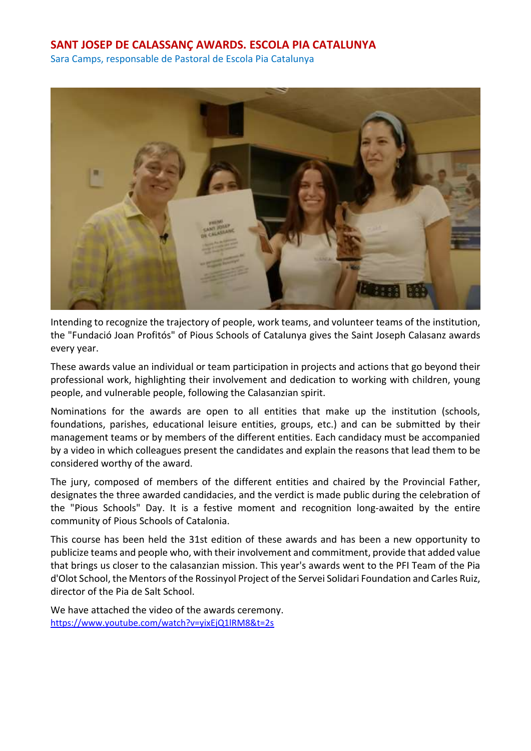## **SANT JOSEP DE CALASSANÇ AWARDS. ESCOLA PIA CATALUNYA**

Sara Camps, responsable de Pastoral de Escola Pia Catalunya



Intending to recognize the trajectory of people, work teams, and volunteer teams of the institution, the "Fundació Joan Profitós" of Pious Schools of Catalunya gives the Saint Joseph Calasanz awards every year.

These awards value an individual or team participation in projects and actions that go beyond their professional work, highlighting their involvement and dedication to working with children, young people, and vulnerable people, following the Calasanzian spirit.

Nominations for the awards are open to all entities that make up the institution (schools, foundations, parishes, educational leisure entities, groups, etc.) and can be submitted by their management teams or by members of the different entities. Each candidacy must be accompanied by a video in which colleagues present the candidates and explain the reasons that lead them to be considered worthy of the award.

The jury, composed of members of the different entities and chaired by the Provincial Father, designates the three awarded candidacies, and the verdict is made public during the celebration of the "Pious Schools" Day. It is a festive moment and recognition long-awaited by the entire community of Pious Schools of Catalonia.

This course has been held the 31st edition of these awards and has been a new opportunity to publicize teams and people who, with their involvement and commitment, provide that added value that brings us closer to the calasanzian mission. This year's awards went to the PFI Team of the Pia d'Olot School, the Mentors of the Rossinyol Project of the Servei Solidari Foundation and Carles Ruiz, director of the Pia de Salt School.

We have attached the video of the awards ceremony. <https://www.youtube.com/watch?v=yixEjQ1lRM8&t=2s>